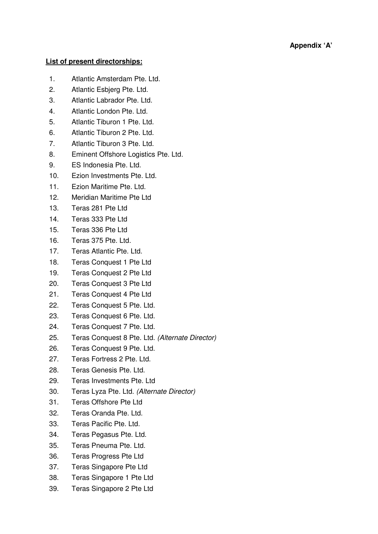## **List of present directorships:**

- 1. Atlantic Amsterdam Pte. Ltd.
- 2. Atlantic Esbjerg Pte. Ltd.
- 3. Atlantic Labrador Pte. Ltd.
- 4. Atlantic London Pte. Ltd.
- 5. Atlantic Tiburon 1 Pte. Ltd.
- 6. Atlantic Tiburon 2 Pte. Ltd.
- 7. Atlantic Tiburon 3 Pte. Ltd.
- 8. Eminent Offshore Logistics Pte. Ltd.
- 9. ES Indonesia Pte. Ltd.
- 10. Ezion Investments Pte. Ltd.
- 11. Ezion Maritime Pte. Ltd.
- 12. Meridian Maritime Pte Ltd
- 13. Teras 281 Pte Ltd
- 14. Teras 333 Pte Ltd
- 15. Teras 336 Pte Ltd
- 16. Teras 375 Pte. Ltd.
- 17. Teras Atlantic Pte. Ltd.
- 18. Teras Conquest 1 Pte Ltd
- 19. Teras Conquest 2 Pte Ltd
- 20. Teras Conquest 3 Pte Ltd
- 21. Teras Conquest 4 Pte Ltd
- 22. Teras Conquest 5 Pte. Ltd.
- 23. Teras Conquest 6 Pte. Ltd.
- 24. Teras Conquest 7 Pte. Ltd.
- 25. Teras Conquest 8 Pte. Ltd. (Alternate Director)
- 26. Teras Conquest 9 Pte. Ltd.
- 27. Teras Fortress 2 Pte. Ltd.
- 28. Teras Genesis Pte. Ltd.
- 29. Teras Investments Pte. Ltd
- 30. Teras Lyza Pte. Ltd. (Alternate Director)
- 31. Teras Offshore Pte Ltd
- 32. Teras Oranda Pte. Ltd.
- 33. Teras Pacific Pte. Ltd.
- 34. Teras Pegasus Pte. Ltd.
- 35. Teras Pneuma Pte. Ltd.
- 36. Teras Progress Pte Ltd
- 37. Teras Singapore Pte Ltd
- 38. Teras Singapore 1 Pte Ltd
- 39. Teras Singapore 2 Pte Ltd